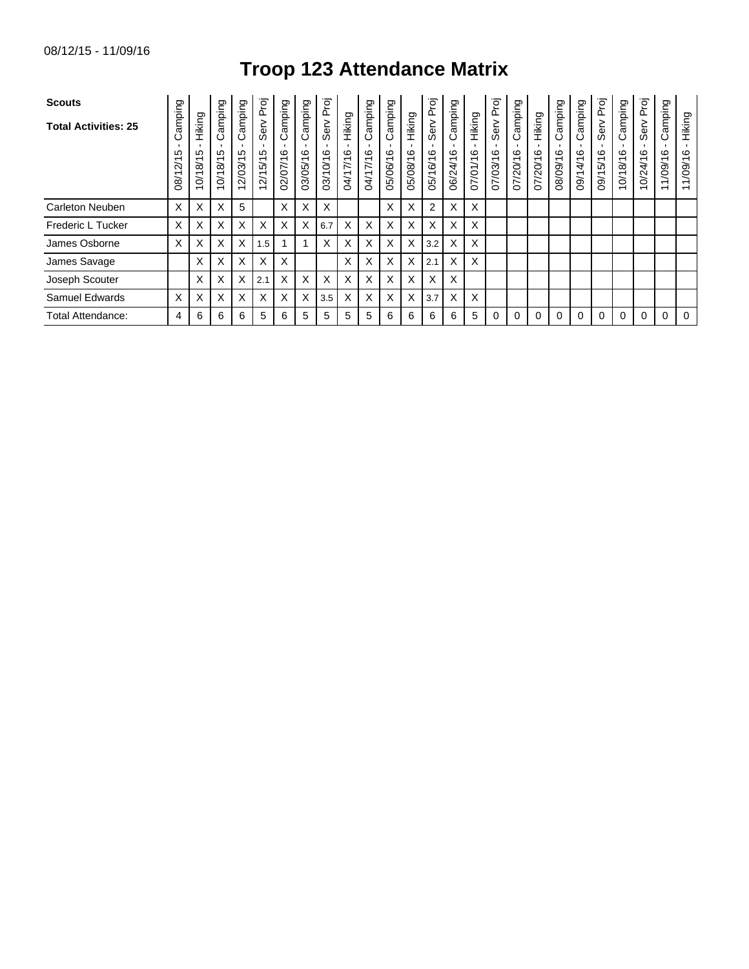## **Troop 123 Attendance Matrix**

| <b>Scouts</b>               |                                     |                                    |                         |                                                     | Proj                |                           |                        |                       |                    |                        |                         |                        | Proj             |                             |                    | Proj                 |                             |                    |                         |                     | Proj                 |                         | Proj                 |                                                        |                                               |
|-----------------------------|-------------------------------------|------------------------------------|-------------------------|-----------------------------------------------------|---------------------|---------------------------|------------------------|-----------------------|--------------------|------------------------|-------------------------|------------------------|------------------|-----------------------------|--------------------|----------------------|-----------------------------|--------------------|-------------------------|---------------------|----------------------|-------------------------|----------------------|--------------------------------------------------------|-----------------------------------------------|
| <b>Total Activities: 25</b> | Camping<br>ഥ<br>Ñ<br>$\overline{8}$ | Hiking<br>ഥ<br>$\frac{18}{1}$<br>ò | Camping<br>5<br>10/18/1 | Camping<br>LO<br>2/03/1<br>$\overline{\phantom{0}}$ | Serv<br>Ю<br>2/15/1 | guidure:<br>ت<br>02/07/16 | amping<br>ဖ<br>03/05/1 | Serv Proj<br>03/10/16 | Hiking<br>04/17/16 | Camping<br>G<br>N11/10 | Camping<br>ဖ<br>05/06/1 | Hiking<br>ဖ<br>05/08/1 | Serv<br>05/16/16 | amping<br>ن<br>ဖ<br>06/24/1 | Hiking<br>07/01/16 | Serv<br>G<br>07/03/1 | amping<br>ن<br>ဖ<br>07/20/1 | Hiking<br>07/20/16 | Camping<br>G<br>08/09/1 | Camping<br>09/14/16 | Serv<br>5/16<br>09/1 | Camping<br>G<br>10/18/1 | Serv<br>ဖ<br>0/24/16 | amping<br>O<br>ဖ<br>1/09/1<br>$\overline{\phantom{0}}$ | Hiking<br>1/09/16<br>$\overline{\phantom{0}}$ |
| <b>Carleton Neuben</b>      | X                                   | X                                  | X                       | 5                                                   |                     | X                         | X                      | X                     |                    |                        | X                       | X                      | $\overline{2}$   | X                           | X                  |                      |                             |                    |                         |                     |                      |                         |                      |                                                        |                                               |
| Frederic L Tucker           | X                                   | х                                  | X                       | X                                                   | X                   | X                         | X                      | 6.7                   | X                  | X                      | X                       | X                      | X                | X                           | X                  |                      |                             |                    |                         |                     |                      |                         |                      |                                                        |                                               |
| James Osborne               | X                                   | X                                  | X                       | X                                                   | 1.5                 |                           |                        | X                     | X                  | X                      | X                       | X                      | 3.2              | X                           | X                  |                      |                             |                    |                         |                     |                      |                         |                      |                                                        |                                               |
| James Savage                |                                     | х                                  | X                       | X                                                   | X                   | X                         |                        |                       | X                  | X                      | X                       | X                      | 2.1              | X                           | X                  |                      |                             |                    |                         |                     |                      |                         |                      |                                                        |                                               |
| Joseph Scouter              |                                     | X                                  | X                       | X                                                   | 2.1                 | X                         | X                      | X                     | X                  | X                      | X                       | X                      | X                | X                           |                    |                      |                             |                    |                         |                     |                      |                         |                      |                                                        |                                               |
| <b>Samuel Edwards</b>       | X                                   | X                                  | X                       | X                                                   | X                   | X                         | X                      | 3.5                   | X                  | X                      | X                       | X                      | 3.7              | X                           | X                  |                      |                             |                    |                         |                     |                      |                         |                      |                                                        |                                               |
| Total Attendance:           | 4                                   | 6                                  | 6                       | 6                                                   | 5                   | 6                         | 5                      | 5                     | 5                  | 5                      | 6                       | 6                      | 6                | 6                           | 5                  | 0                    | 0                           | 0                  |                         | $\Omega$            | 0                    | 0                       | $\Omega$             | 0                                                      | $\Omega$                                      |